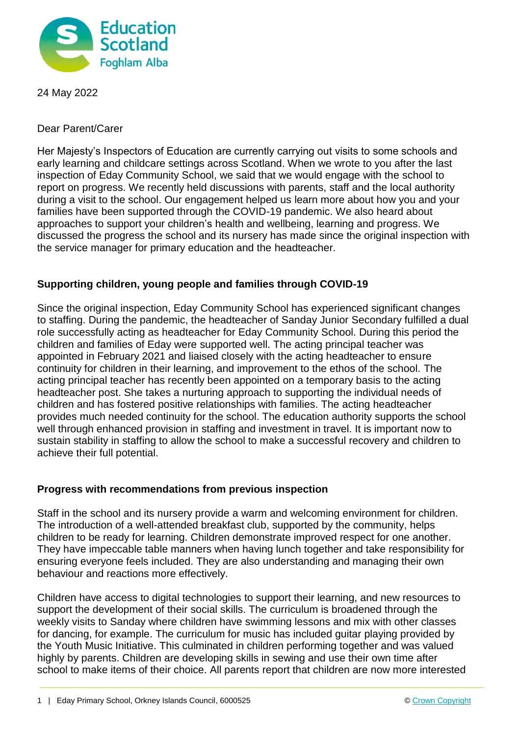

24 May 2022

Dear Parent/Carer

Her Majesty's Inspectors of Education are currently carrying out visits to some schools and early learning and childcare settings across Scotland. When we wrote to you after the last inspection of Eday Community School, we said that we would engage with the school to report on progress. We recently held discussions with parents, staff and the local authority during a visit to the school. Our engagement helped us learn more about how you and your families have been supported through the COVID-19 pandemic. We also heard about approaches to support your children's health and wellbeing, learning and progress. We discussed the progress the school and its nursery has made since the original inspection with the service manager for primary education and the headteacher.

## **Supporting children, young people and families through COVID-19**

Since the original inspection, Eday Community School has experienced significant changes to staffing. During the pandemic, the headteacher of Sanday Junior Secondary fulfilled a dual role successfully acting as headteacher for Eday Community School. During this period the children and families of Eday were supported well. The acting principal teacher was appointed in February 2021 and liaised closely with the acting headteacher to ensure continuity for children in their learning, and improvement to the ethos of the school. The acting principal teacher has recently been appointed on a temporary basis to the acting headteacher post. She takes a nurturing approach to supporting the individual needs of children and has fostered positive relationships with families. The acting headteacher provides much needed continuity for the school. The education authority supports the school well through enhanced provision in staffing and investment in travel. It is important now to sustain stability in staffing to allow the school to make a successful recovery and children to achieve their full potential.

## **Progress with recommendations from previous inspection**

Staff in the school and its nursery provide a warm and welcoming environment for children. The introduction of a well-attended breakfast club, supported by the community, helps children to be ready for learning. Children demonstrate improved respect for one another. They have impeccable table manners when having lunch together and take responsibility for ensuring everyone feels included. They are also understanding and managing their own behaviour and reactions more effectively.

Children have access to digital technologies to support their learning, and new resources to support the development of their social skills. The curriculum is broadened through the weekly visits to Sanday where children have swimming lessons and mix with other classes for dancing, for example. The curriculum for music has included guitar playing provided by the Youth Music Initiative. This culminated in children performing together and was valued highly by parents. Children are developing skills in sewing and use their own time after school to make items of their choice. All parents report that children are now more interested